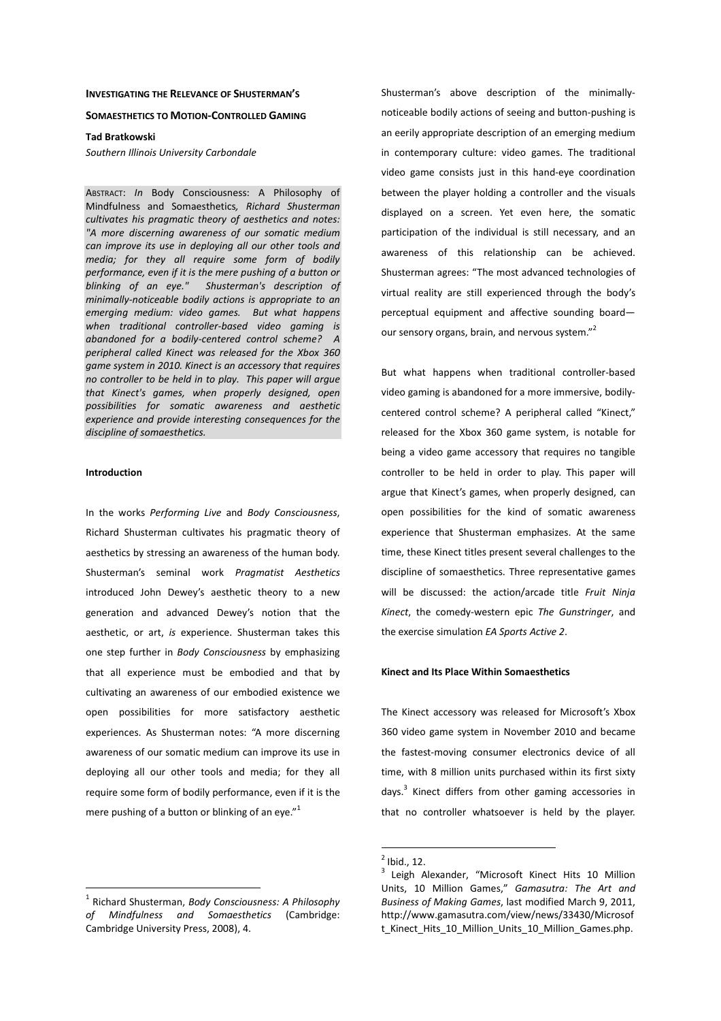## **INVESTIGATING THE RELEVANCE OF SHUSTERMAN'S**

## **SOMAESTHETICS TO MOTION-CONTROLLED GAMING**

## **Tad Bratkowski**

*Southern Illinois University Carbondale* 

ABSTRACT: *In* Body Consciousness: A Philosophy of Mindfulness and Somaesthetics*, Richard Shusterman cultivates his pragmatic theory of aesthetics and notes: "A more discerning awareness of our somatic medium can improve its use in deploying all our other tools and media; for they all require some form of bodily performance, even if it is the mere pushing of a button or blinking of an eye." Shusterman's description of minimally-noticeable bodily actions is appropriate to an emerging medium: video games. But what happens when traditional controller-based video gaming is abandoned for a bodily-centered control scheme? A peripheral called Kinect was released for the Xbox 360 game system in 2010. Kinect is an accessory that requires no controller to be held in to play. This paper will argue that Kinect's games, when properly designed, open possibilities for somatic awareness and aesthetic experience and provide interesting consequences for the discipline of somaesthetics.* 

# **Introduction**

 $\overline{a}$ 

In the works *Performing Live* and *Body Consciousness*, Richard Shusterman cultivates his pragmatic theory of aesthetics by stressing an awareness of the human body. Shusterman's seminal work *Pragmatist Aesthetics* introduced John Dewey's aesthetic theory to a new generation and advanced Dewey's notion that the aesthetic, or art, *is* experience. Shusterman takes this one step further in *Body Consciousness* by emphasizing that all experience must be embodied and that by cultivating an awareness of our embodied existence we open possibilities for more satisfactory aesthetic experiences. As Shusterman notes: "A more discerning awareness of our somatic medium can improve its use in deploying all our other tools and media; for they all require some form of bodily performance, even if it is the mere pushing of a button or blinking of an eye."<sup>1</sup>

Shusterman's above description of the minimallynoticeable bodily actions of seeing and button-pushing is an eerily appropriate description of an emerging medium in contemporary culture: video games. The traditional video game consists just in this hand-eye coordination between the player holding a controller and the visuals displayed on a screen. Yet even here, the somatic participation of the individual is still necessary, and an awareness of this relationship can be achieved. Shusterman agrees: "The most advanced technologies of virtual reality are still experienced through the body's perceptual equipment and affective sounding board our sensory organs, brain, and nervous system."<sup>2</sup>

But what happens when traditional controller-based video gaming is abandoned for a more immersive, bodilycentered control scheme? A peripheral called "Kinect," released for the Xbox 360 game system, is notable for being a video game accessory that requires no tangible controller to be held in order to play. This paper will argue that Kinect's games, when properly designed, can open possibilities for the kind of somatic awareness experience that Shusterman emphasizes. At the same time, these Kinect titles present several challenges to the discipline of somaesthetics. Three representative games will be discussed: the action/arcade title *Fruit Ninja Kinect*, the comedy-western epic *The Gunstringer*, and the exercise simulation *EA Sports Active 2*.

# **Kinect and Its Place Within Somaesthetics**

The Kinect accessory was released for Microsoft's Xbox 360 video game system in November 2010 and became the fastest-moving consumer electronics device of all time, with 8 million units purchased within its first sixty days.<sup>3</sup> Kinect differs from other gaming accessories in that no controller whatsoever is held by the player.

<sup>1</sup> Richard Shusterman, *Body Consciousness: A Philosophy of Mindfulness and Somaesthetics* (Cambridge: Cambridge University Press, 2008), 4.

 $<sup>2</sup>$  Ibid., 12.</sup>

<sup>3</sup> Leigh Alexander, "Microsoft Kinect Hits 10 Million Units, 10 Million Games," *Gamasutra: The Art and Business of Making Games*, last modified March 9, 2011, http://www.gamasutra.com/view/news/33430/Microsof t\_Kinect\_Hits\_10\_Million\_Units\_10\_Million\_Games.php.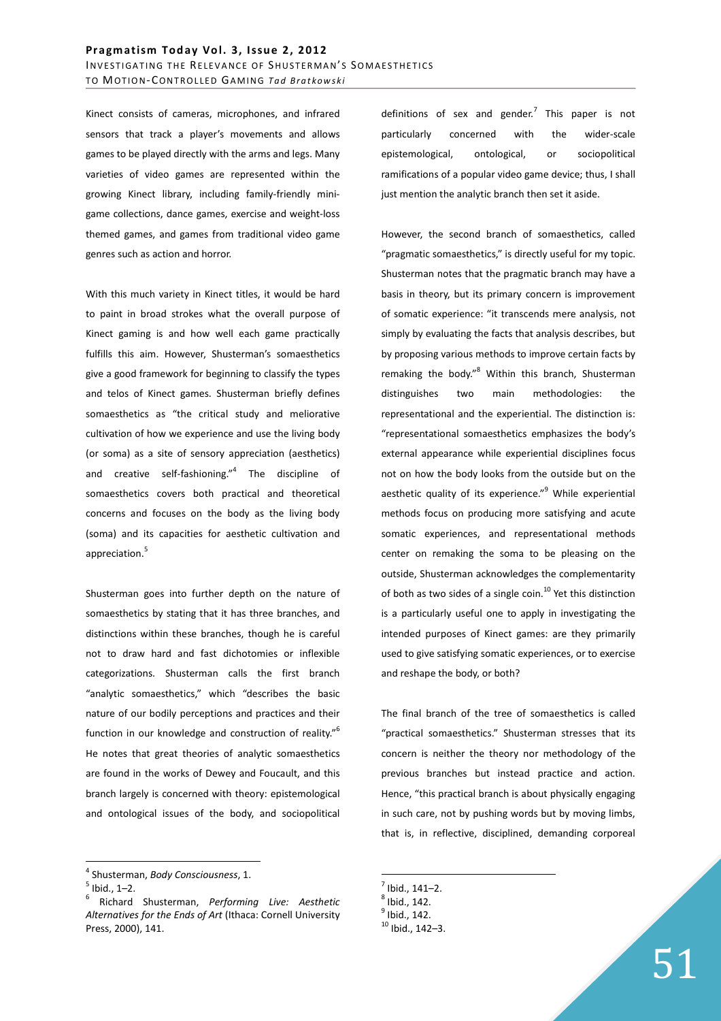Kinect consists of cameras, microphones, and infrared sensors that track a player's movements and allows games to be played directly with the arms and legs. Many varieties of video games are represented within the growing Kinect library, including family-friendly minigame collections, dance games, exercise and weight-loss themed games, and games from traditional video game genres such as action and horror.

With this much variety in Kinect titles, it would be hard to paint in broad strokes what the overall purpose of Kinect gaming is and how well each game practically fulfills this aim. However, Shusterman's somaesthetics give a good framework for beginning to classify the types and telos of Kinect games. Shusterman briefly defines somaesthetics as "the critical study and meliorative cultivation of how we experience and use the living body (or soma) as a site of sensory appreciation (aesthetics) and creative self-fashioning."<sup>4</sup> The discipline of somaesthetics covers both practical and theoretical concerns and focuses on the body as the living body (soma) and its capacities for aesthetic cultivation and appreciation.<sup>5</sup>

Shusterman goes into further depth on the nature of somaesthetics by stating that it has three branches, and distinctions within these branches, though he is careful not to draw hard and fast dichotomies or inflexible categorizations. Shusterman calls the first branch "analytic somaesthetics," which "describes the basic nature of our bodily perceptions and practices and their function in our knowledge and construction of reality."<sup>6</sup> He notes that great theories of analytic somaesthetics are found in the works of Dewey and Foucault, and this branch largely is concerned with theory: epistemological and ontological issues of the body, and sociopolitical

 $\overline{a}$ 

definitions of sex and gender.<sup>7</sup> This paper is not particularly concerned with the wider-scale epistemological, ontological, or sociopolitical ramifications of a popular video game device; thus, I shall just mention the analytic branch then set it aside.

However, the second branch of somaesthetics, called "pragmatic somaesthetics," is directly useful for my topic. Shusterman notes that the pragmatic branch may have a basis in theory, but its primary concern is improvement of somatic experience: "it transcends mere analysis, not simply by evaluating the facts that analysis describes, but by proposing various methods to improve certain facts by remaking the body."<sup>8</sup> Within this branch, Shusterman distinguishes two main methodologies: the representational and the experiential. The distinction is: "representational somaesthetics emphasizes the body's external appearance while experiential disciplines focus not on how the body looks from the outside but on the aesthetic quality of its experience."<sup>9</sup> While experiential methods focus on producing more satisfying and acute somatic experiences, and representational methods center on remaking the soma to be pleasing on the outside, Shusterman acknowledges the complementarity of both as two sides of a single coin.<sup>10</sup> Yet this distinction is a particularly useful one to apply in investigating the intended purposes of Kinect games: are they primarily used to give satisfying somatic experiences, or to exercise and reshape the body, or both?

The final branch of the tree of somaesthetics is called "practical somaesthetics." Shusterman stresses that its concern is neither the theory nor methodology of the previous branches but instead practice and action. Hence, "this practical branch is about physically engaging in such care, not by pushing words but by moving limbs, that is, in reflective, disciplined, demanding corporeal

<sup>4</sup> Shusterman, *Body Consciousness*, 1.

 $<sup>5</sup>$  Ibid., 1–2.</sup>

<sup>6</sup> Richard Shusterman, *Performing Live: Aesthetic Alternatives for the Ends of Art* (Ithaca: Cornell University Press, 2000), 141.

 $<sup>7</sup>$  Ibid., 141-2.</sup>

 $^8$  Ibid., 142.

 $<sup>9</sup>$  Ibid., 142.</sup>

 $10$  Ibid.,  $142 - 3$ .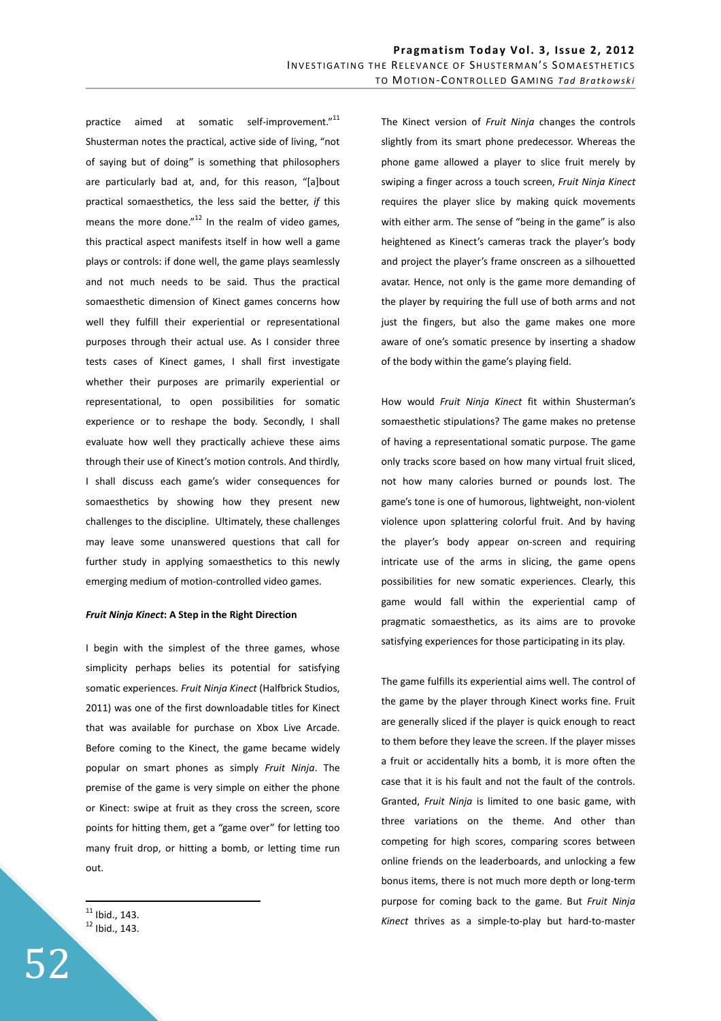practice aimed at somatic self-improvement."<sup>11</sup> Shusterman notes the practical, active side of living, "not of saying but of doing" is something that philosophers are particularly bad at, and, for this reason, "[a]bout practical somaesthetics, the less said the better, *if* this means the more done. $n^{12}$  In the realm of video games, this practical aspect manifests itself in how well a game plays or controls: if done well, the game plays seamlessly and not much needs to be said. Thus the practical somaesthetic dimension of Kinect games concerns how well they fulfill their experiential or representational purposes through their actual use. As I consider three tests cases of Kinect games, I shall first investigate whether their purposes are primarily experiential or representational, to open possibilities for somatic experience or to reshape the body. Secondly, I shall evaluate how well they practically achieve these aims through their use of Kinect's motion controls. And thirdly, I shall discuss each game's wider consequences for somaesthetics by showing how they present new challenges to the discipline. Ultimately, these challenges may leave some unanswered questions that call for further study in applying somaesthetics to this newly emerging medium of motion-controlled video games.

# *Fruit Ninja Kinect***: A Step in the Right Direction**

I begin with the simplest of the three games, whose simplicity perhaps belies its potential for satisfying somatic experiences. *Fruit Ninja Kinect* (Halfbrick Studios, 2011) was one of the first downloadable titles for Kinect that was available for purchase on Xbox Live Arcade. Before coming to the Kinect, the game became widely popular on smart phones as simply *Fruit Ninja*. The premise of the game is very simple on either the phone or Kinect: swipe at fruit as they cross the screen, score points for hitting them, get a "game over" for letting too many fruit drop, or hitting a bomb, or letting time run out.

 $11$  Ibid., 143.  $12$  Ibid., 143.

 $\overline{a}$ 

The Kinect version of *Fruit Ninja* changes the controls slightly from its smart phone predecessor. Whereas the phone game allowed a player to slice fruit merely by swiping a finger across a touch screen, *Fruit Ninja Kinect* requires the player slice by making quick movements with either arm. The sense of "being in the game" is also heightened as Kinect's cameras track the player's body and project the player's frame onscreen as a silhouetted avatar. Hence, not only is the game more demanding of the player by requiring the full use of both arms and not just the fingers, but also the game makes one more aware of one's somatic presence by inserting a shadow of the body within the game's playing field.

How would *Fruit Ninja Kinect* fit within Shusterman's somaesthetic stipulations? The game makes no pretense of having a representational somatic purpose. The game only tracks score based on how many virtual fruit sliced, not how many calories burned or pounds lost. The game's tone is one of humorous, lightweight, non-violent violence upon splattering colorful fruit. And by having the player's body appear on-screen and requiring intricate use of the arms in slicing, the game opens possibilities for new somatic experiences. Clearly, this game would fall within the experiential camp of pragmatic somaesthetics, as its aims are to provoke satisfying experiences for those participating in its play.

The game fulfills its experiential aims well. The control of the game by the player through Kinect works fine. Fruit are generally sliced if the player is quick enough to react to them before they leave the screen. If the player misses a fruit or accidentally hits a bomb, it is more often the case that it is his fault and not the fault of the controls. Granted, *Fruit Ninja* is limited to one basic game, with three variations on the theme. And other than competing for high scores, comparing scores between online friends on the leaderboards, and unlocking a few bonus items, there is not much more depth or long-term purpose for coming back to the game. But *Fruit Ninja Kinect* thrives as a simple-to-play but hard-to-master

52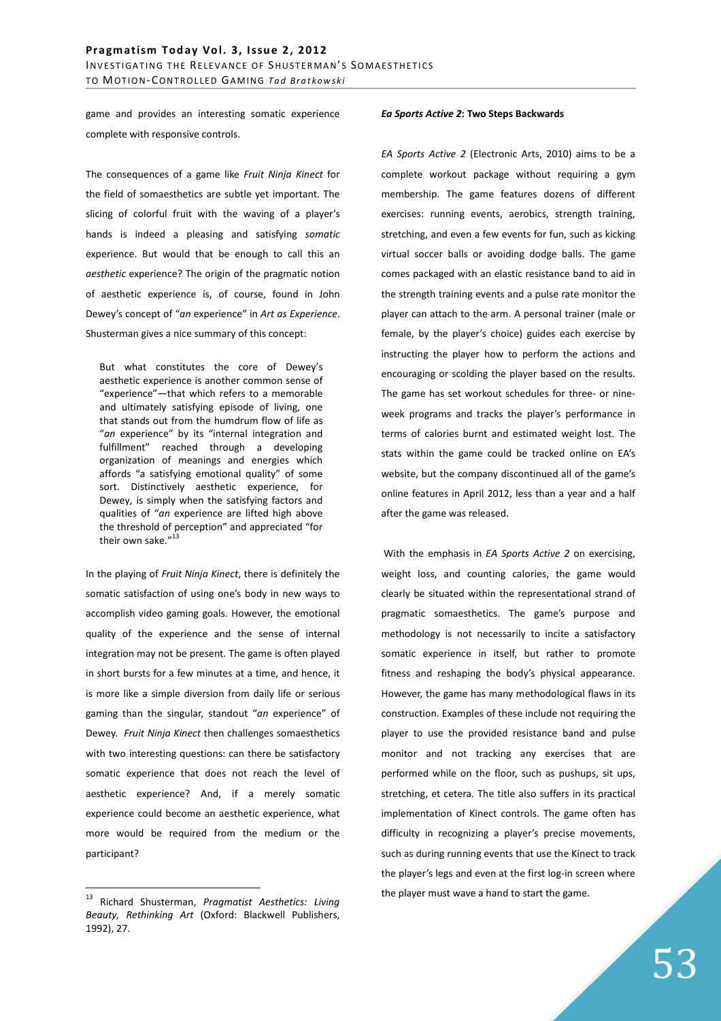game and provides an interesting somatic experience complete with responsive controls.

The consequences of a game like *Fruit Ninja Kinect* for the field of somaesthetics are subtle yet important. The slicing of colorful fruit with the waving of a player's hands is indeed a pleasing and satisfying *somatic* experience. But would that be enough to call this an *aesthetic* experience? The origin of the pragmatic notion of aesthetic experience is, of course, found in John Dewey's concept of "*an* experience" in *Art as Experience*. Shusterman gives a nice summary of this concept:

But what constitutes the core of Dewey's aesthetic experience is another common sense of "experience"—that which refers to a memorable and ultimately satisfying episode of living, one that stands out from the humdrum flow of life as "*an* experience" by its "internal integration and fulfillment" reached through a developing organization of meanings and energies which affords "a satisfying emotional quality" of some sort. Distinctively aesthetic experience, for Dewey, is simply when the satisfying factors and qualities of "*an* experience are lifted high above the threshold of perception" and appreciated "for their own sake."<sup>13</sup>

In the playing of *Fruit Ninja Kinect*, there is definitely the somatic satisfaction of using one's body in new ways to accomplish video gaming goals. However, the emotional quality of the experience and the sense of internal integration may not be present. The game is often played in short bursts for a few minutes at a time, and hence, it is more like a simple diversion from daily life or serious gaming than the singular, standout "*an* experience" of Dewey. *Fruit Ninja Kinect* then challenges somaesthetics with two interesting questions: can there be satisfactory somatic experience that does not reach the level of aesthetic experience? And, if a merely somatic experience could become an aesthetic experience, what more would be required from the medium or the participant?

 $\overline{a}$ 

#### *Ea Sports Active 2***: Two Steps Backwards**

*EA Sports Active 2* (Electronic Arts, 2010) aims to be a complete workout package without requiring a gym membership. The game features dozens of different exercises: running events, aerobics, strength training, stretching, and even a few events for fun, such as kicking virtual soccer balls or avoiding dodge balls. The game comes packaged with an elastic resistance band to aid in the strength training events and a pulse rate monitor the player can attach to the arm. A personal trainer (male or female, by the player's choice) guides each exercise by instructing the player how to perform the actions and encouraging or scolding the player based on the results. The game has set workout schedules for three- or nineweek programs and tracks the player's performance in terms of calories burnt and estimated weight lost. The stats within the game could be tracked online on EA's website, but the company discontinued all of the game's online features in April 2012, less than a year and a half after the game was released.

 With the emphasis in *EA Sports Active 2* on exercising, weight loss, and counting calories, the game would clearly be situated within the representational strand of pragmatic somaesthetics. The game's purpose and methodology is not necessarily to incite a satisfactory somatic experience in itself, but rather to promote fitness and reshaping the body's physical appearance. However, the game has many methodological flaws in its construction. Examples of these include not requiring the player to use the provided resistance band and pulse monitor and not tracking any exercises that are performed while on the floor, such as pushups, sit ups, stretching, et cetera. The title also suffers in its practical implementation of Kinect controls. The game often has difficulty in recognizing a player's precise movements, such as during running events that use the Kinect to track the player's legs and even at the first log-in screen where the player must wave a hand to start the game.

<sup>13</sup> Richard Shusterman, *Pragmatist Aesthetics: Living Beauty, Rethinking Art* (Oxford: Blackwell Publishers, 1992), 27.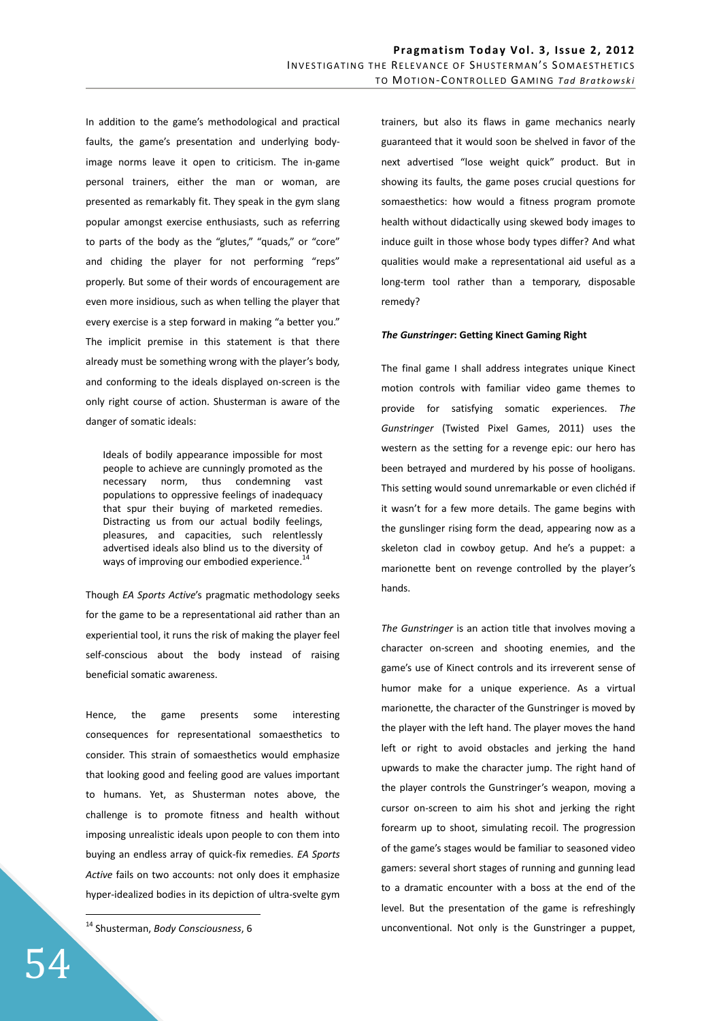In addition to the game's methodological and practical faults, the game's presentation and underlying bodyimage norms leave it open to criticism. The in-game personal trainers, either the man or woman, are presented as remarkably fit. They speak in the gym slang popular amongst exercise enthusiasts, such as referring to parts of the body as the "glutes," "quads," or "core" and chiding the player for not performing "reps" properly. But some of their words of encouragement are even more insidious, such as when telling the player that every exercise is a step forward in making "a better you." The implicit premise in this statement is that there already must be something wrong with the player's body, and conforming to the ideals displayed on-screen is the only right course of action. Shusterman is aware of the danger of somatic ideals:

Ideals of bodily appearance impossible for most people to achieve are cunningly promoted as the necessary norm, thus condemning vast populations to oppressive feelings of inadequacy that spur their buying of marketed remedies. Distracting us from our actual bodily feelings, pleasures, and capacities, such relentlessly advertised ideals also blind us to the diversity of ways of improving our embodied experience.<sup>1</sup>

Though *EA Sports Active*'s pragmatic methodology seeks for the game to be a representational aid rather than an experiential tool, it runs the risk of making the player feel self-conscious about the body instead of raising beneficial somatic awareness.

Hence, the game presents some interesting consequences for representational somaesthetics to consider. This strain of somaesthetics would emphasize that looking good and feeling good are values important to humans. Yet, as Shusterman notes above, the challenge is to promote fitness and health without imposing unrealistic ideals upon people to con them into buying an endless array of quick-fix remedies. *EA Sports Active* fails on two accounts: not only does it emphasize hyper-idealized bodies in its depiction of ultra-svelte gym

<sup>14</sup> Shusterman, *Body Consciousness*, 6

trainers, but also its flaws in game mechanics nearly guaranteed that it would soon be shelved in favor of the next advertised "lose weight quick" product. But in showing its faults, the game poses crucial questions for somaesthetics: how would a fitness program promote health without didactically using skewed body images to induce guilt in those whose body types differ? And what qualities would make a representational aid useful as a long-term tool rather than a temporary, disposable remedy?

### *The Gunstringer***: Getting Kinect Gaming Right**

The final game I shall address integrates unique Kinect motion controls with familiar video game themes to provide for satisfying somatic experiences. *The Gunstringer* (Twisted Pixel Games, 2011) uses the western as the setting for a revenge epic: our hero has been betrayed and murdered by his posse of hooligans. This setting would sound unremarkable or even clichéd if it wasn't for a few more details. The game begins with the gunslinger rising form the dead, appearing now as a skeleton clad in cowboy getup. And he's a puppet: a marionette bent on revenge controlled by the player's hands.

*The Gunstringer* is an action title that involves moving a character on-screen and shooting enemies, and the game's use of Kinect controls and its irreverent sense of humor make for a unique experience. As a virtual marionette, the character of the Gunstringer is moved by the player with the left hand. The player moves the hand left or right to avoid obstacles and jerking the hand upwards to make the character jump. The right hand of the player controls the Gunstringer's weapon, moving a cursor on-screen to aim his shot and jerking the right forearm up to shoot, simulating recoil. The progression of the game's stages would be familiar to seasoned video gamers: several short stages of running and gunning lead to a dramatic encounter with a boss at the end of the level. But the presentation of the game is refreshingly unconventional. Not only is the Gunstringer a puppet,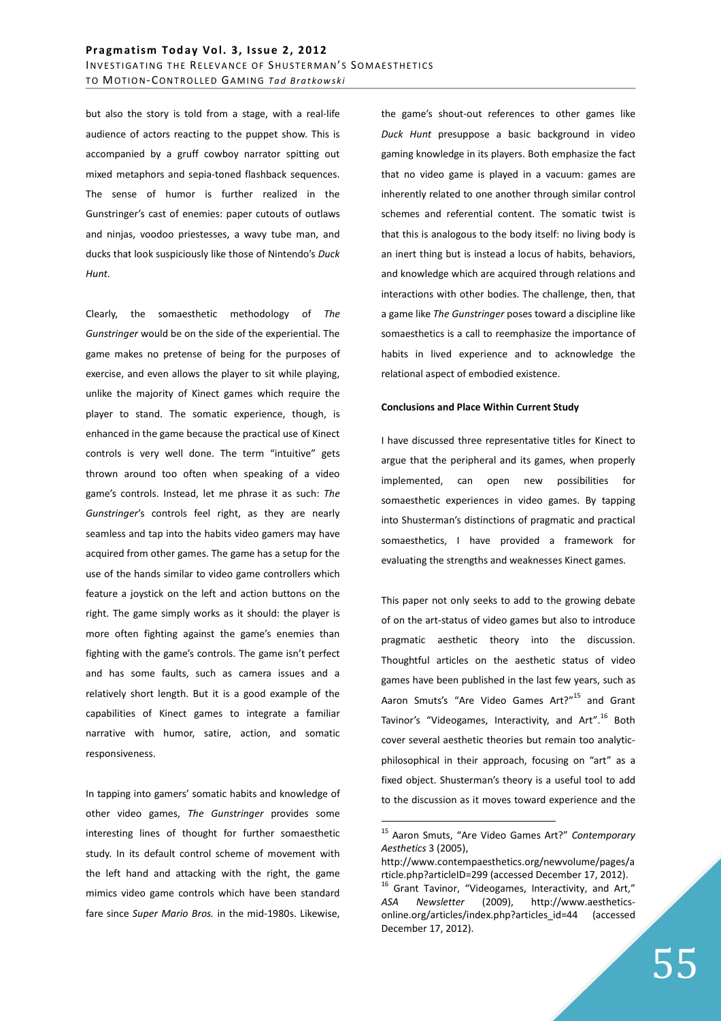but also the story is told from a stage, with a real-life audience of actors reacting to the puppet show. This is accompanied by a gruff cowboy narrator spitting out mixed metaphors and sepia-toned flashback sequences. The sense of humor is further realized in the Gunstringer's cast of enemies: paper cutouts of outlaws and ninjas, voodoo priestesses, a wavy tube man, and ducks that look suspiciously like those of Nintendo's *Duck Hunt*.

Clearly, the somaesthetic methodology of *The Gunstringer* would be on the side of the experiential. The game makes no pretense of being for the purposes of exercise, and even allows the player to sit while playing, unlike the majority of Kinect games which require the player to stand. The somatic experience, though, is enhanced in the game because the practical use of Kinect controls is very well done. The term "intuitive" gets thrown around too often when speaking of a video game's controls. Instead, let me phrase it as such: *The Gunstringer*'s controls feel right, as they are nearly seamless and tap into the habits video gamers may have acquired from other games. The game has a setup for the use of the hands similar to video game controllers which feature a joystick on the left and action buttons on the right. The game simply works as it should: the player is more often fighting against the game's enemies than fighting with the game's controls. The game isn't perfect and has some faults, such as camera issues and a relatively short length. But it is a good example of the capabilities of Kinect games to integrate a familiar narrative with humor, satire, action, and somatic responsiveness.

In tapping into gamers' somatic habits and knowledge of other video games, *The Gunstringer* provides some interesting lines of thought for further somaesthetic study. In its default control scheme of movement with the left hand and attacking with the right, the game mimics video game controls which have been standard fare since *Super Mario Bros.* in the mid-1980s. Likewise,

the game's shout-out references to other games like *Duck Hunt* presuppose a basic background in video gaming knowledge in its players. Both emphasize the fact that no video game is played in a vacuum: games are inherently related to one another through similar control schemes and referential content. The somatic twist is that this is analogous to the body itself: no living body is an inert thing but is instead a locus of habits, behaviors, and knowledge which are acquired through relations and interactions with other bodies. The challenge, then, that a game like *The Gunstringer* poses toward a discipline like somaesthetics is a call to reemphasize the importance of habits in lived experience and to acknowledge the relational aspect of embodied existence.

#### **Conclusions and Place Within Current Study**

I have discussed three representative titles for Kinect to argue that the peripheral and its games, when properly implemented, can open new possibilities for somaesthetic experiences in video games. By tapping into Shusterman's distinctions of pragmatic and practical somaesthetics, I have provided a framework for evaluating the strengths and weaknesses Kinect games.

This paper not only seeks to add to the growing debate of on the art-status of video games but also to introduce pragmatic aesthetic theory into the discussion. Thoughtful articles on the aesthetic status of video games have been published in the last few years, such as Aaron Smuts's "Are Video Games Art?"<sup>15</sup> and Grant Tavinor's "Videogames, Interactivity, and Art".<sup>16</sup> Both cover several aesthetic theories but remain too analyticphilosophical in their approach, focusing on "art" as a fixed object. Shusterman's theory is a useful tool to add to the discussion as it moves toward experience and the

<sup>15</sup> Aaron Smuts, "Are Video Games Art?" *Contemporary Aesthetics* 3 (2005),

http://www.contempaesthetics.org/newvolume/pages/a rticle.php?articleID=299 (accessed December 17, 2012).

 $16$  Grant Tavinor, "Videogames, Interactivity, and Art," *ASA Newsletter* (2009), http://www.aestheticsonline.org/articles/index.php?articles\_id=44 (accessed December 17, 2012).